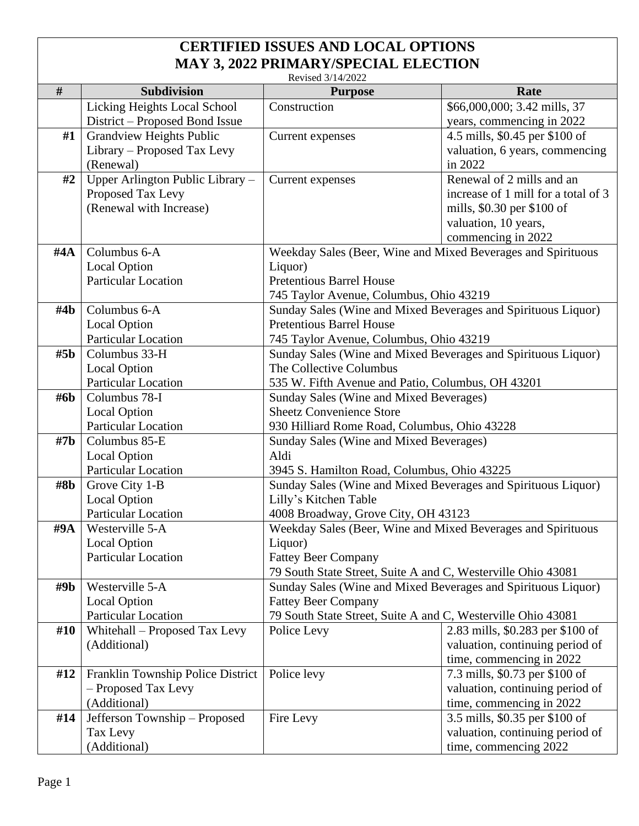## **CERTIFIED ISSUES AND LOCAL OPTIONS MAY 3, 2022 PRIMARY/SPECIAL ELECTION**

| Revised 3/14/2022 |                                            |                                                                                                          |                                     |  |  |
|-------------------|--------------------------------------------|----------------------------------------------------------------------------------------------------------|-------------------------------------|--|--|
| $\#$              | <b>Subdivision</b>                         | <b>Purpose</b>                                                                                           | Rate                                |  |  |
|                   | <b>Licking Heights Local School</b>        | Construction                                                                                             | \$66,000,000; 3.42 mills, 37        |  |  |
|                   | District – Proposed Bond Issue             |                                                                                                          | years, commencing in 2022           |  |  |
| #1                | <b>Grandview Heights Public</b>            | Current expenses                                                                                         | 4.5 mills, \$0.45 per \$100 of      |  |  |
|                   | Library – Proposed Tax Levy                |                                                                                                          | valuation, 6 years, commencing      |  |  |
|                   | (Renewal)                                  |                                                                                                          | in 2022                             |  |  |
| #2                | Upper Arlington Public Library -           | Current expenses                                                                                         | Renewal of 2 mills and an           |  |  |
|                   | Proposed Tax Levy                          |                                                                                                          | increase of 1 mill for a total of 3 |  |  |
|                   | (Renewal with Increase)                    |                                                                                                          | mills, \$0.30 per \$100 of          |  |  |
|                   |                                            |                                                                                                          | valuation, 10 years,                |  |  |
|                   |                                            |                                                                                                          | commencing in 2022                  |  |  |
| #4A               | Columbus 6-A                               | Weekday Sales (Beer, Wine and Mixed Beverages and Spirituous                                             |                                     |  |  |
|                   | <b>Local Option</b>                        | Liquor)                                                                                                  |                                     |  |  |
|                   | <b>Particular Location</b>                 | <b>Pretentious Barrel House</b>                                                                          |                                     |  |  |
|                   |                                            | 745 Taylor Avenue, Columbus, Ohio 43219                                                                  |                                     |  |  |
| $\#4\mathbf{b}$   | Columbus 6-A                               | Sunday Sales (Wine and Mixed Beverages and Spirituous Liquor)<br><b>Pretentious Barrel House</b>         |                                     |  |  |
|                   | <b>Local Option</b><br>Particular Location |                                                                                                          |                                     |  |  |
| #5 <sub>b</sub>   | Columbus 33-H                              | 745 Taylor Avenue, Columbus, Ohio 43219<br>Sunday Sales (Wine and Mixed Beverages and Spirituous Liquor) |                                     |  |  |
|                   | <b>Local Option</b>                        | The Collective Columbus                                                                                  |                                     |  |  |
|                   | <b>Particular Location</b>                 | 535 W. Fifth Avenue and Patio, Columbus, OH 43201                                                        |                                     |  |  |
| #6b               | Columbus 78-I                              | Sunday Sales (Wine and Mixed Beverages)                                                                  |                                     |  |  |
|                   | <b>Local Option</b>                        | <b>Sheetz Convenience Store</b>                                                                          |                                     |  |  |
|                   | Particular Location                        | 930 Hilliard Rome Road, Columbus, Ohio 43228                                                             |                                     |  |  |
| #7 <sub>b</sub>   | Columbus 85-E                              | Sunday Sales (Wine and Mixed Beverages)                                                                  |                                     |  |  |
|                   | <b>Local Option</b>                        | Aldi                                                                                                     |                                     |  |  |
|                   | <b>Particular Location</b>                 | 3945 S. Hamilton Road, Columbus, Ohio 43225                                                              |                                     |  |  |
| #8b               | Grove City 1-B                             | Sunday Sales (Wine and Mixed Beverages and Spirituous Liquor)                                            |                                     |  |  |
|                   | <b>Local Option</b>                        | Lilly's Kitchen Table                                                                                    |                                     |  |  |
|                   | Particular Location                        | 4008 Broadway, Grove City, OH 43123                                                                      |                                     |  |  |
| $\#9A$            | Westerville 5-A                            | Weekday Sales (Beer, Wine and Mixed Beverages and Spirituous                                             |                                     |  |  |
|                   | <b>Local Option</b>                        | Liquor)                                                                                                  |                                     |  |  |
|                   | <b>Particular Location</b>                 | <b>Fattey Beer Company</b>                                                                               |                                     |  |  |
|                   |                                            | 79 South State Street, Suite A and C, Westerville Ohio 43081                                             |                                     |  |  |
| #9b               | Westerville 5-A                            | Sunday Sales (Wine and Mixed Beverages and Spirituous Liquor)                                            |                                     |  |  |
|                   | <b>Local Option</b>                        | <b>Fattey Beer Company</b>                                                                               |                                     |  |  |
|                   | <b>Particular Location</b>                 | 79 South State Street, Suite A and C, Westerville Ohio 43081                                             |                                     |  |  |
| #10               | Whitehall – Proposed Tax Levy              | Police Levy                                                                                              | 2.83 mills, \$0.283 per \$100 of    |  |  |
|                   | (Additional)                               |                                                                                                          | valuation, continuing period of     |  |  |
|                   |                                            |                                                                                                          | time, commencing in 2022            |  |  |
| #12               | Franklin Township Police District          | Police levy                                                                                              | 7.3 mills, \$0.73 per \$100 of      |  |  |
|                   | - Proposed Tax Levy                        |                                                                                                          | valuation, continuing period of     |  |  |
|                   | (Additional)                               |                                                                                                          | time, commencing in 2022            |  |  |
| #14               | Jefferson Township - Proposed              | Fire Levy                                                                                                | 3.5 mills, \$0.35 per \$100 of      |  |  |
|                   | Tax Levy                                   |                                                                                                          | valuation, continuing period of     |  |  |
|                   | (Additional)                               |                                                                                                          | time, commencing 2022               |  |  |